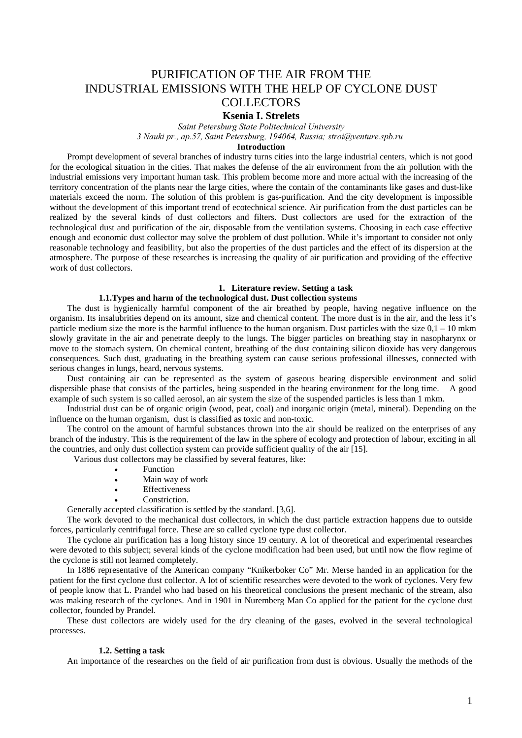# PURIFICATION OF THE AIR FROM THE INDUSTRIAL EMISSIONS WITH THE HELP OF CYCLONE DUST **COLLECTORS**

# **Ksenia I. Strelets**

*Saint Petersburg State Politechnical University 3 Nauki pr., ap.57, Saint Petersburg, 194064, Russia; stroi@venture.spb.ru*

## **Introduction**

Prompt development of several branches of industry turns cities into the large industrial centers, which is not good for the ecological situation in the cities. That makes the defense of the air environment from the air pollution with the industrial emissions very important human task. This problem become more and more actual with the increasing of the territory concentration of the plants near the large cities, where the contain of the contaminants like gases and dust-like materials exceed the norm. The solution of this problem is gas-purification. And the city development is impossible without the development of this important trend of ecotechnical science. Air purification from the dust particles can be realized by the several kinds of dust collectors and filters. Dust collectors are used for the extraction of the technological dust and purification of the air, disposable from the ventilation systems. Choosing in each case effective enough and economic dust collector may solve the problem of dust pollution. While it's important to consider not only reasonable technology and feasibility, but also the properties of the dust particles and the effect of its dispersion at the atmosphere. The purpose of these researches is increasing the quality of air purification and providing of the effective work of dust collectors.

### **1. Literature review. Setting a task**

### **1.1.Types and harm of the technological dust. Dust collection systems**

The dust is hygienically harmful component of the air breathed by people, having negative influence on the organism. Its insalubrities depend on its amount, size and chemical content. The more dust is in the air, and the less it's particle medium size the more is the harmful influence to the human organism. Dust particles with the size  $0,1 - 10$  mkm slowly gravitate in the air and penetrate deeply to the lungs. The bigger particles on breathing stay in nasopharynx or move to the stomach system. On chemical content, breathing of the dust containing silicon dioxide has very dangerous consequences. Such dust, graduating in the breathing system can cause serious professional illnesses, connected with serious changes in lungs, heard, nervous systems.

Dust containing air can be represented as the system of gaseous bearing dispersible environment and solid dispersible phase that consists of the particles, being suspended in the bearing environment for the long time. A good example of such system is so called aerosol, an air system the size of the suspended particles is less than 1 mkm.

Industrial dust can be of organic origin (wood, peat, coal) and inorganic origin (metal, mineral). Depending on the influence on the human organism, dust is classified as toxic and non-toxic.

The control on the amount of harmful substances thrown into the air should be realized on the enterprises of any branch of the industry. This is the requirement of the law in the sphere of ecology and protection of labour, exciting in all the countries, and only dust collection system can provide sufficient quality of the air [15].

Various dust collectors may be classified by several features, like:

- **Function**
- Main way of work
- Effectiveness
- Constriction.

Generally accepted classification is settled by the standard. [3,6].

The work devoted to the mechanical dust collectors, in which the dust particle extraction happens due to outside forces, particularly centrifugal force. These are so called cyclone type dust collector.

The cyclone air purification has a long history since 19 century. A lot of theoretical and experimental researches were devoted to this subject; several kinds of the cyclone modification had been used, but until now the flow regime of the cyclone is still not learned completely.

In 1886 representative of the American company "Knikerboker Co" Mr. Merse handed in an application for the patient for the first cyclone dust collector. A lot of scientific researches were devoted to the work of cyclones. Very few of people know that L. Prandel who had based on his theoretical conclusions the present mechanic of the stream, also was making research of the cyclones. And in 1901 in Nuremberg Man Co applied for the patient for the cyclone dust collector, founded by Prandel.

These dust collectors are widely used for the dry cleaning of the gases, evolved in the several technological processes.

### **1.2. Setting a task**

An importance of the researches on the field of air purification from dust is obvious. Usually the methods of the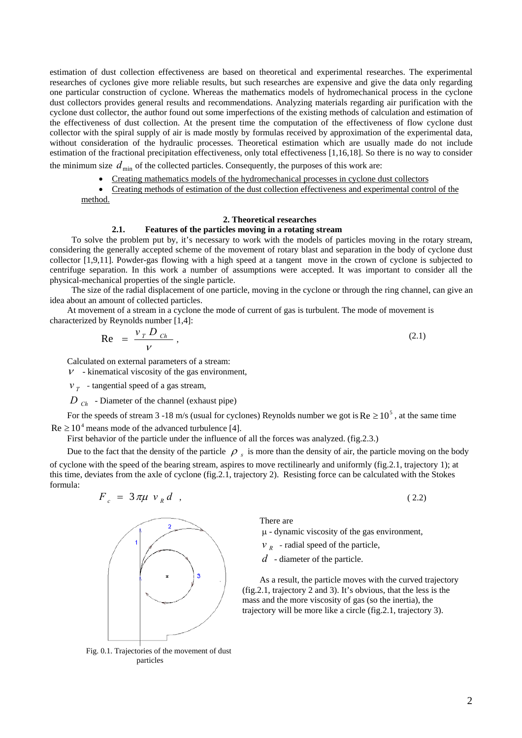estimation of dust collection effectiveness are based on theoretical and experimental researches. The experimental researches of cyclones give more reliable results, but such researches are expensive and give the data only regarding one particular construction of cyclone. Whereas the mathematics models of hydromechanical process in the cyclone dust collectors provides general results and recommendations. Analyzing materials regarding air purification with the cyclone dust collector, the author found out some imperfections of the existing methods of calculation and estimation of the effectiveness of dust collection. At the present time the computation of the effectiveness of flow cyclone dust collector with the spiral supply of air is made mostly by formulas received by approximation of the experimental data, without consideration of the hydraulic processes. Theoretical estimation which are usually made do not include estimation of the fractional precipitation effectiveness, only total effectiveness [1,16,18]. So there is no way to consider

the minimum size  $d_{\text{min}}$  of the collected particles. Consequently, the purposes of this work are:

- Creating mathematics models of the hydromechanical processes in cyclone dust collectors
- Creating methods of estimation of the dust collection effectiveness and experimental control of the method.

### **2. Theoretical researches**

## **2.1. Features of the particles moving in a rotating stream**

To solve the problem put by, it's necessary to work with the models of particles moving in the rotary stream, considering the generally accepted scheme of the movement of rotary blast and separation in the body of cyclone dust collector [1,9,11]. Powder-gas flowing with a high speed at a tangent move in the crown of cyclone is subjected to centrifuge separation. In this work a number of assumptions were accepted. It was important to consider all the physical-mechanical properties of the single particle.

The size of the radial displacement of one particle, moving in the cyclone or through the ring channel, can give an idea about an amount of collected particles.

At movement of a stream in a cyclone the mode of current of gas is turbulent. The mode of movement is characterized by Reynolds number [1,4]:

$$
\text{Re} = \frac{v_T D_{Ch}}{V}, \tag{2.1}
$$

Calculated on external parameters of a stream:

 $\nu$  - kinematical viscosity of the gas environment,

 $v_r$  - tangential speed of a gas stream,

 $D_{ch}$  - Diameter of the channel (exhaust pipe)

For the speeds of stream 3 -18 m/s (usual for cyclones) Reynolds number we got is  $Re \ge 10^5$ , at the same time  $Re \geq 10^4$  means mode of the advanced turbulence [4].

First behavior of the particle under the influence of all the forces was analyzed. (fig.2.3.)

Due to the fact that the density of the particle  $\rho_s$  is more than the density of air, the particle moving on the body of cyclone with the speed of the bearing stream, aspires to move rectilinearly and uniformly (fig.2.1, trajectory 1); at this time, deviates from the axle of cyclone (fig.2.1, trajectory 2). Resisting force can be calculated with the Stokes formula:

$$
F_c = 3\pi\mu \ v_R d \quad , \tag{2.2}
$$



Fig. 0.1. Trajectories of the movement of dust particles

There are

 $\mu$  - dynamic viscosity of the gas environment,

- $V_R$  radial speed of the particle,
- *d* diameter of the particle.

As a result, the particle moves with the curved trajectory (fig.2.1, trajectory 2 and 3). It's obvious, that the less is the mass and the more viscosity of gas (so the inertia), the trajectory will be more like a circle (fig.2.1, trajectory 3).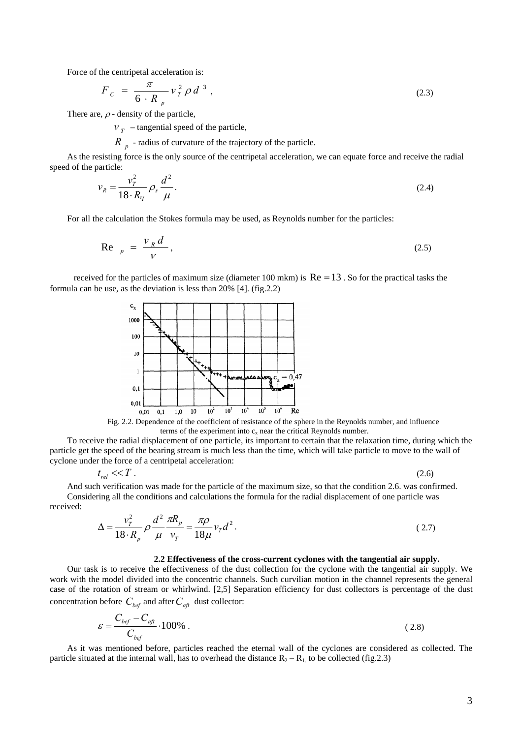Force of the centripetal acceleration is:

$$
F_c = \frac{\pi}{6 \cdot R_p} v_T^2 \rho d^3 , \qquad (2.3)
$$

There are,  $\rho$  - density of the particle,

 $v_r$  – tangential speed of the particle,

- radius of curvature of the trajectory of the particle. *R <sup>p</sup>*

As the resisting force is the only source of the centripetal acceleration, we can equate force and receive the radial speed of the particle:

$$
v_R = \frac{v_T^2}{18 \cdot R_q} \rho_s \frac{d^2}{\mu}.
$$
\n
$$
(2.4)
$$

For all the calculation the Stokes formula may be used, as Reynolds number for the particles:

$$
\text{Re} \quad p = \frac{v_R d}{V}, \tag{2.5}
$$

received for the particles of maximum size (diameter 100 mkm) is  $Re = 13$ . So for the practical tasks the formula can be use, as the deviation is less than 20% [4]. (fig.2.2)



Fig. 2.2. Dependence of the coefficient of resistance of the sphere in the Reynolds number, and influence terms of the experiment into  $c_x$  near the critical Reynolds number.

To receive the radial displacement of one particle, its important to certain that the relaxation time, during which the particle get the speed of the bearing stream is much less than the time, which will take particle to move to the wall of cyclone under the force of a centripetal acceleration:

$$
t_{rel} \ll T \tag{2.6}
$$

And such verification was made for the particle of the maximum size, so that the condition 2.6. was confirmed. Considering all the conditions and calculations the formula for the radial displacement of one particle was received:

$$
\Delta = \frac{v_r^2}{18 \cdot R_p} \rho \frac{d^2}{\mu} \frac{\pi R_p}{v_r} = \frac{\pi \rho}{18 \mu} v_r d^2.
$$
 (2.7)

#### **2.2 Effectiveness of the cross-current cyclones with the tangential air supply.**

Our task is to receive the effectiveness of the dust collection for the cyclone with the tangential air supply. We work with the model divided into the concentric channels. Such curvilian motion in the channel represents the general case of the rotation of stream or whirlwind. [2,5] Separation efficiency for dust collectors is percentage of the dust concentration before  $C_{\text{hef}}$  and after  $C_{\text{aft}}$  dust collector:

$$
\varepsilon = \frac{C_{\text{bef}} - C_{\text{afi}}}{C_{\text{bef}}} \cdot 100\% \tag{2.8}
$$

As it was mentioned before, particles reached the eternal wall of the cyclones are considered as collected. The particle situated at the internal wall, has to overhead the distance  $R_2 - R_1$  to be collected (fig.2.3)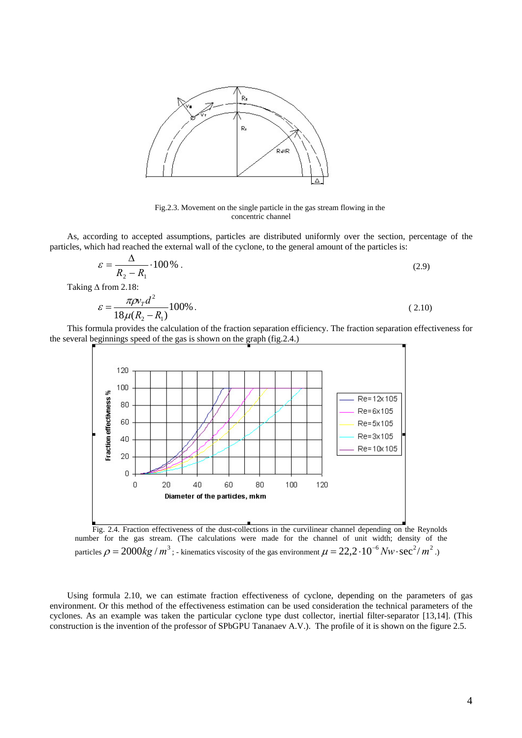

Fig.2.3. Movement on the single particle in the gas stream flowing in the concentric channel

As, according to accepted assumptions, particles are distributed uniformly over the section, percentage of the particles, which had reached the external wall of the cyclone, to the general amount of the particles is:

$$
\varepsilon = \frac{\Delta}{R_2 - R_1} \cdot 100\% \tag{2.9}
$$

Taking ∆ from 2.18:

$$
\varepsilon = \frac{\pi \rho v_{T} d^{2}}{18\mu (R_{2} - R_{1})} 100\% .
$$
\n(2.10)

This formula provides the calculation of the fraction separation efficiency. The fraction separation effectiveness for the several beginnings speed of the gas is shown on the graph (fig.2.4.)



Fig. 2.4. Fraction effectiveness of the dust-collections in the curvilinear channel depending on the Reynolds number for the gas stream. (The calculations were made for the channel of unit width; density of the particles  $\rho = 2000kg/m^3$  ; - kinematics viscosity of the gas environment  $\mu = 22.2 \cdot 10^{-6} Nw \cdot \text{sec}^2/m^2$  .)

Using formula 2.10, we can estimate fraction effectiveness of cyclone, depending on the parameters of gas environment. Or this method of the effectiveness estimation can be used consideration the technical parameters of the cyclones. As an example was taken the particular cyclone type dust collector, inertial filter-separator [13,14]. (This construction is the invention of the professor of SPbGPU Tananaev A.V.). The profile of it is shown on the figure 2.5.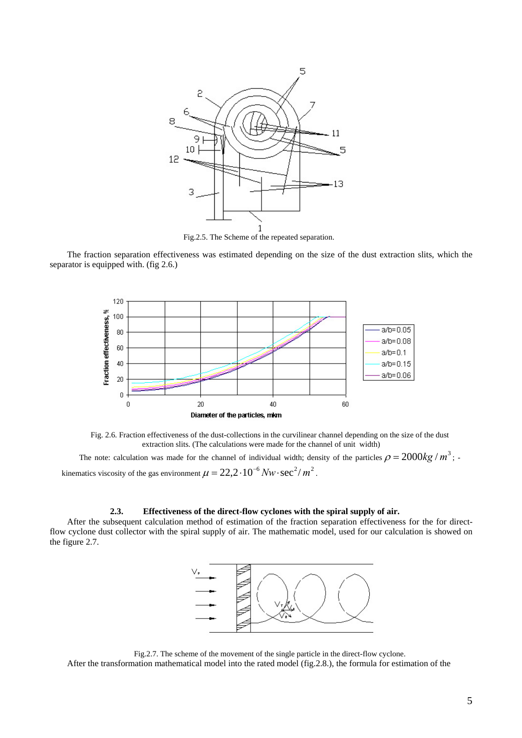

Fig.2.5. The Scheme of the repeated separation.

The fraction separation effectiveness was estimated depending on the size of the dust extraction slits, which the separator is equipped with. (fig 2.6.)



Fig. 2.6. Fraction effectiveness of the dust-collections in the curvilinear channel depending on the size of the dust extraction slits. (The calculations were made for the channel of unit width)

The note: calculation was made for the channel of individual width; density of the particles  $\rho = 2000kg/m^3$ ; kinematics viscosity of the gas environment  $\mu = 22.2 \cdot 10^{-6} Nw \cdot \sec^2/m^2$ .

#### **2.3. Effectiveness of the direct-flow cyclones with the spiral supply of air.**

After the subsequent calculation method of estimation of the fraction separation effectiveness for the for directflow cyclone dust collector with the spiral supply of air. The mathematic model, used for our calculation is showed on the figure 2.7.



Fig.2.7. The scheme of the movement of the single particle in the direct-flow cyclone.

After the transformation mathematical model into the rated model (fig.2.8.), the formula for estimation of the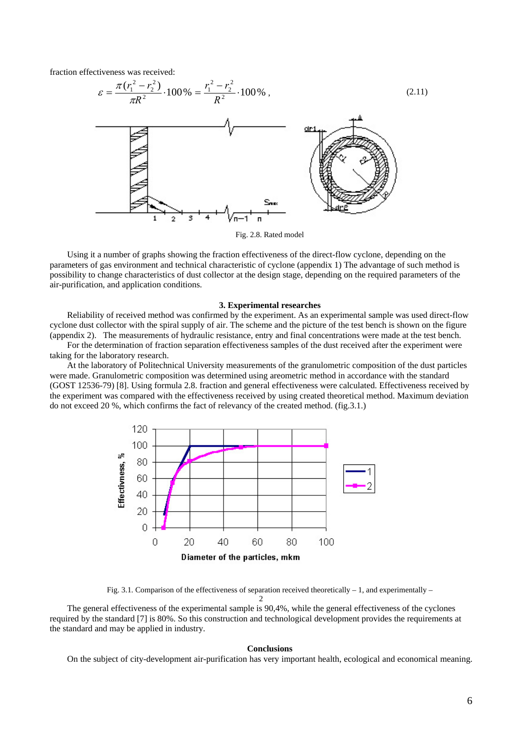fraction effectiveness was received:



Fig. 2.8. Rated model

Using it a number of graphs showing the fraction effectiveness of the direct-flow cyclone, depending on the parameters of gas environment and technical characteristic of cyclone (appendix 1) The advantage of such method is possibility to change characteristics of dust collector at the design stage, depending on the required parameters of the air-purification, and application conditions.

### **3. Experimental researches**

Reliability of received method was confirmed by the experiment. As an experimental sample was used direct-flow cyclone dust collector with the spiral supply of air. The scheme and the picture of the test bench is shown on the figure (appendix 2). The measurements of hydraulic resistance, entry and final concentrations were made at the test bench.

For the determination of fraction separation effectiveness samples of the dust received after the experiment were taking for the laboratory research.

At the laboratory of Politechnical University measurements of the granulometric composition of the dust particles were made. Granulometric composition was determined using areometric method in accordance with the standard (GOST 12536-79) [8]. Using formula 2.8. fraction and general effectiveness were calculated. Effectiveness received by the experiment was compared with the effectiveness received by using created theoretical method. Maximum deviation do not exceed 20 %, which confirms the fact of relevancy of the created method. (fig.3.1.)



Fig. 3.1. Comparison of the effectiveness of separation received theoretically – 1, and experimentally –

2 The general effectiveness of the experimental sample is 90,4%, while the general effectiveness of the cyclones required by the standard [7] is 80%. So this construction and technological development provides the requirements at the standard and may be applied in industry.

#### **Conclusions**

On the subject of city-development air-purification has very important health, ecological and economical meaning.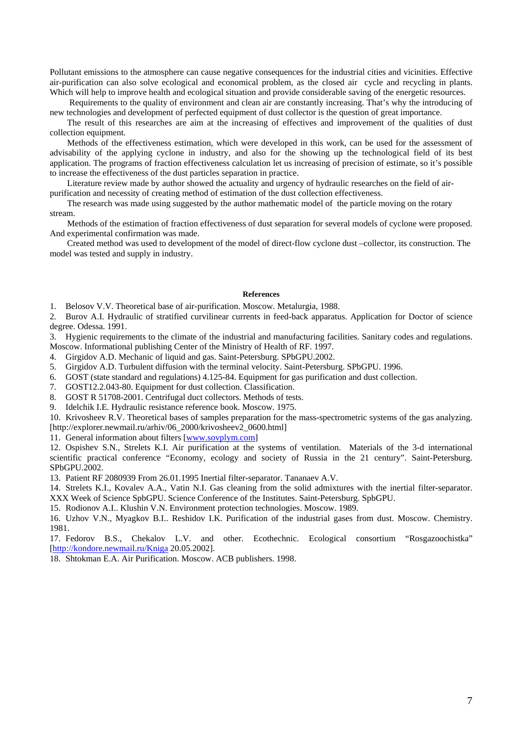Pollutant emissions to the atmosphere can cause negative consequences for the industrial cities and vicinities. Effective air-purification can also solve ecological and economical problem, as the closed air cycle and recycling in plants. Which will help to improve health and ecological situation and provide considerable saving of the energetic resources.

Requirements to the quality of environment and clean air are constantly increasing. That's why the introducing of new technologies and development of perfected equipment of dust collector is the question of great importance.

The result of this researches are aim at the increasing of effectives and improvement of the qualities of dust collection equipment.

Methods of the effectiveness estimation, which were developed in this work, can be used for the assessment of advisability of the applying cyclone in industry, and also for the showing up the technological field of its best application. The programs of fraction effectiveness calculation let us increasing of precision of estimate, so it's possible to increase the effectiveness of the dust particles separation in practice.

Literature review made by author showed the actuality and urgency of hydraulic researches on the field of airpurification and necessity of creating method of estimation of the dust collection effectiveness.

The research was made using suggested by the author mathematic model of the particle moving on the rotary stream.

Methods of the estimation of fraction effectiveness of dust separation for several models of cyclone were proposed. And experimental confirmation was made.

Created method was used to development of the model of direct-flow cyclone dust –collector, its construction. The model was tested and supply in industry.

### **References**

1. Belosov V.V. Theoretical base of air-purification. Moscow. Metalurgia, 1988.

2. Burov A.I. Hydraulic of stratified curvilinear currents in feed-back apparatus. Application for Doctor of science degree. Odessa. 1991.

3. Hygienic requirements to the climate of the industrial and manufacturing facilities. Sanitary codes and regulations. Moscow. Informational publishing Center of the Ministry of Health of RF. 1997.

- 4. Girgidov A.D. Mechanic of liquid and gas. Saint-Petersburg. SPbGPU.2002.
- 5. Girgidov A.D. Turbulent diffusion with the terminal velocity. Saint-Petersburg. SPbGPU. 1996.
- 6. GOST (state standard and regulations) 4.125-84. Equipment for gas purification and dust collection.
- 7. GOST12.2.043-80. Equipment for dust collection. Classification.
- 8. GOST R 51708-2001. Centrifugal duct collectors. Methods of tests.
- 9. Idelchik I.E. Hydraulic resistance reference book. Moscow. 1975.

10. Krivosheev R.V. Theoretical bases of samples preparation for the mass-spectrometric systems of the gas analyzing. [\[http://explorer.newmail.ru/arhiv/06\\_2000/krivosheev2\\_0600.html\]](http://explorer.newmail.ru/arhiv/06_2000/krivosheev2_0600.html)

11. General information about filters [\[www.sovplym.com\]](http://www.sovplym.com/)

12. Ospishev S.N., Strelets K.I. Air purification at the systems of ventilation. Materials of the 3-d international scientific practical conference "Economy, ecology and society of Russia in the 21 century". Saint-Petersburg. SPbGPU.2002.

13. Patient RF 2080939 From 26.01.1995 Inertial filter-separator. Tananaev A.V.

14. Strelets K.I., Kovalev A.A., Vatin N.I. Gas cleaning from the solid admixtures with the inertial filter-separator. XXX Week of Science SpbGPU. Science Conference of the Institutes. Saint-Petersburg. SpbGPU.

15. Rodionov A.I.. Klushin V.N. Environment protection technologies. Moscow. 1989.

16. Uzhov V.N., Myagkov B.I.. Reshidov I.K. Purification of the industrial gases from dust. Moscow. Chemistry. 1981.

17. Fedorov B.S., Chekalov L.V. and other. Ecothechnic. Ecological consortium "Rosgazoochistka" [\[http://kondore.newmail.ru/Kniga](http://kondore.newmail.ru/Kniga/Glav/v1.html) 20.05.2002].

18. Shtokman E.A. Air Purification. Moscow. ACB publishers. 1998.